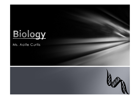

#### Ms. Aoife Curtis

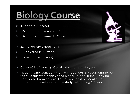# **Biology Course**

- 41 chapters in total
- (23 chapters covered in 5<sup>th</sup> year)
- (18 chapters covered in  $6<sup>th</sup>$  year
- 22 mandatory experiments
- (14 covered in  $5<sup>th</sup>$  year)
- (8 covered in 6th year)
- Cover 60% of Leaving Certificate course in 5th year
- $\triangleright$  Students who work consistently throughout  $5<sup>th</sup>$  year tend to be the students who achieve the highest grade in their Leaving Certificate Examinations. For this reason it is essential for students to develop effective study skills during 5<sup>th</sup> year.

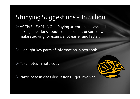# Studying Suggestions - In School

ACTIVE LEARNING!!!! Paying attention in class and asking questions about concepts he is unsure of will make studying for exams a lot easier and faster.

 $\triangleright$  Highlight key parts of information in textbook

> Take notes in note copy



 $\triangleright$  Participate in class discussions – get involved!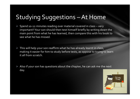# Studying Suggestions –At Home

- $\triangleright$  Spend 10-12 minutes reading over material covered in class very important!! Your son should then test himself briefly by writing down the main point from what he has learned, then compare this with his book to see what he has missed.
- $\triangleright$  This will help your son reaffirm what he has already learnt in class, making it easier for him to study before tests, as oppose to trying to learn it all from scratch.
- $\triangleright$  Also if your son has questions about the chapter, he can ask me the next day.

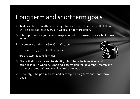### Long term and short term goals

- $\triangleright$  Tests will be given after each major topic covered. This means that there will be a test at least every 2-3 weeks, if not more often.
- $\triangleright$  It is important for your son to keep a record of his results for each of these tests.
- E.g. Human Nutrition  $66%$  (C<sub>1</sub>) October

Enzymes – 79%(B2) – November

There are two reasons for this:-



- $\triangleright$  Firstly it allows your son to identify which topic he is weakest and strongest in, so when he's making a study plan for November, March and summer exams he'll know which area to focus on
- $\triangleright$  Secondly, it helps him to set and accomplish long term and short term goals.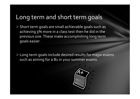### Long term and short term goals

 $\triangleright$  Short term goals are small achievable goals such as achieving 5% more in a class test then he did in the previous one. These make accomplishing long term goals easier.

Long term goals include desired results for major exams such as aiming for a B1 in your summer exams.